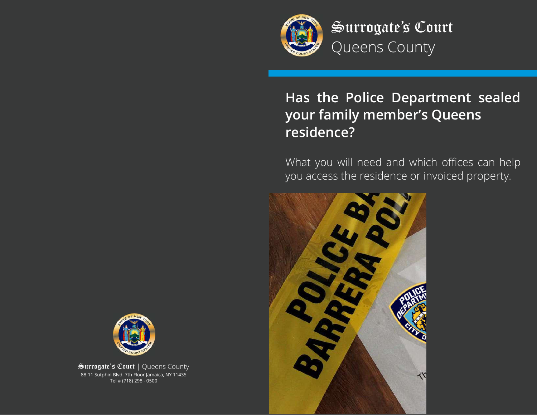

Surrogate's Court Queens County

# **Has the Police Department sealed your family member's Queens residence?**

What you will need and which offices can help you access the residence or invoiced property.





Surrogate's Court | Queens County 88-11 Sutphin Blvd. 7th Floor Jamaica, NY 11435 Tel # (718) 298 - 0500